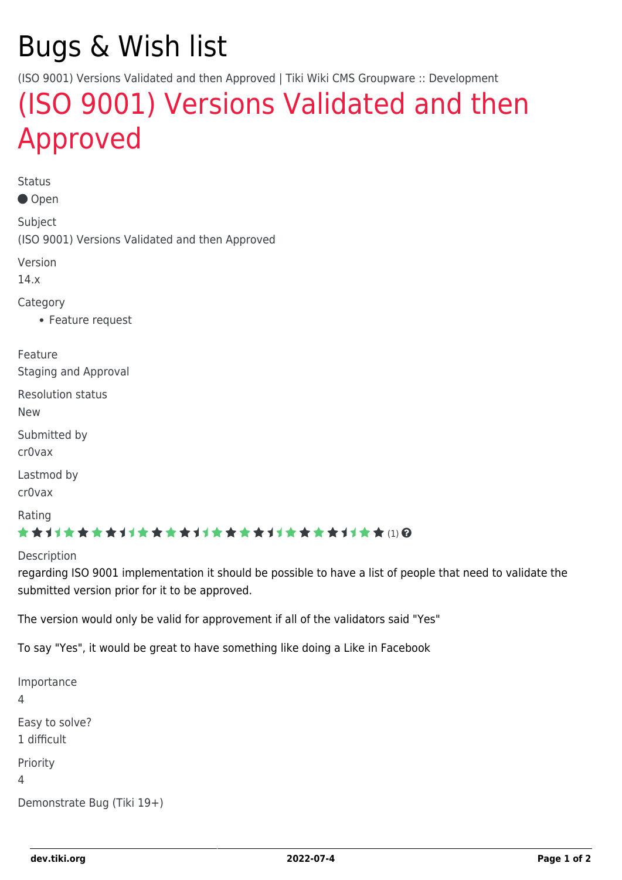# Bugs & Wish list

(ISO 9001) Versions Validated and then Approved | Tiki Wiki CMS Groupware :: Development

## [\(ISO 9001\) Versions Validated and then](https://dev.tiki.org/item5611--ISO-9001-Versions-Validated-and-then-Approved) [Approved](https://dev.tiki.org/item5611--ISO-9001-Versions-Validated-and-then-Approved)

Status

● Open

Subject (ISO 9001) Versions Validated and then Approved

Version

14.x

Category

Feature request

Feature Staging and Approval

Resolution status

New

Submitted by cr0vax

Lastmod by cr0vax

Rating

#### \*\*\*\*\*\*\*\*\*\*\*\*\*\*\*\*\*\*\*\*\*\*\*\*\*\*\*\*\*\*

#### **Description**

regarding ISO 9001 implementation it should be possible to have a list of people that need to validate the submitted version prior for it to be approved.

The version would only be valid for approvement if all of the validators said "Yes"

To say "Yes", it would be great to have something like doing a Like in Facebook

Importance 4 Easy to solve? 1 difficult Priority 4 Demonstrate Bug (Tiki 19+)